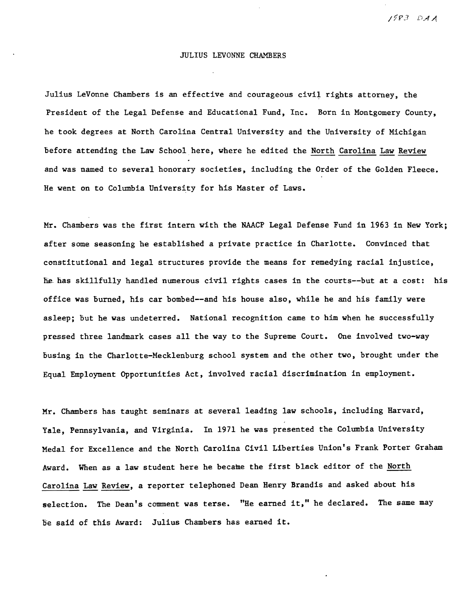/7P3 DAA

## JULIUS LEVONNE CHAMBERS

Julius LeVonne Chambers is an effective and courageous civil rights attorney, the President of the Legal Defense and Educational Fund, Inc. Born in Montgomery County, he took degrees at North Carolina Central University and the University of Michigan before attending the Law School here, where he edited the North Carolina Law Review and was named to several honorary societies, including the Order of the Golden Fleece. He went on to Columbia University for his Master of Laws.

Mr. Chambers was the first intern with the NAACP Legal Defense Fund in 1963 in New York; after some seasoning he established a private practice in Charlotte. Convinced that constitutional and legal structures provide the means for remedying racial injustice, he has skillfully handled numerous civil rights cases in the courts--but at a cost: his office was burned, his car bombed--and his house also, while he and his family were asleep; but he was undeterred. National recognition came to him when he successfully pressed three landmark cases all the way to the Supreme Court. One involved two-way busing in the Charlotte-Mecklenburg school system and the other two, brought under the Equal Employment Opportunities Act, involved racial discrimination in employment.

Mr. Chambers has taught seminars at several leading law schools, including Harvard, Yale, Pennsylvania, and Virginia. In 1971 he was presented the Columbia University Medal for Excellence and the North Carolina Civil Liberties Union's Frank Porter Graham Award. When as a law student here he became the first black editor of the North Carolina Law Review, a reporter telephoned Dean Henry Brandis and asked about his selection. The Dean's comment was terse. "He earned it," he declared. The same may be said of this Award: Julius Chambers has earned it.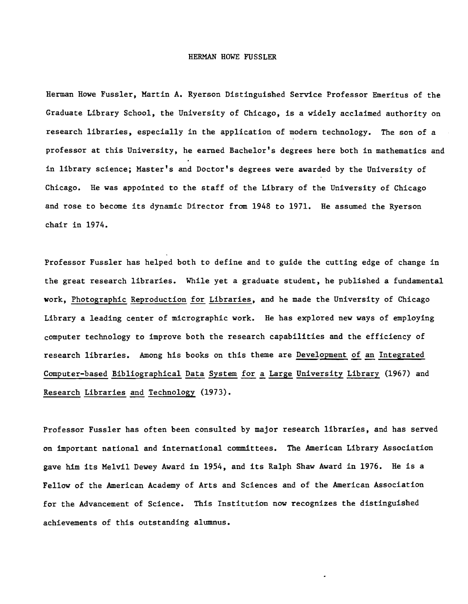## HERMAN HOWE FUSSLER.

Herman Howe FussIer, Martin A. Ryerson Distinguished Service Professor Emeritus of the Graduate Library School, the University of Chicago, is a widely acclaimed authority on research libraries, especially in the application of modern technology. The son of a professor at this University, he earned Bachelor's degrees here both in mathematics and in library science; Master's and Doctor's degrees were awarded by the University of Chicago. He was appointed to the staff of the Library of the University of Chicago and rose to become its dynamic Director from 1948 to 1971. He assumed the Ryerson chair in 1974.

Professor FussIer has helped both to define and to guide the cutting edge of change in the great research libraries. While yet a graduate student, he published a fundamental work, Photographic Reproduction for Libraries, and he made the University of Chicago Library a leading center of micrographic work. He has explored new ways of employing computer technology to improve both the research capabilities and the efficiency of research libraries. Among his books on this theme are Development of an Integrated Computer-based Bibliographical Data System for a Large University Library (1967) and Research Libraries and Technology (1973).

Professor FussIer has often been consulted by major research libraries, and has served on important national and international committees. The American Library Association gave him its Melvil Dewey Award in 1954, and its Ralph Shaw Award in 1976. He is a Fellow of the American Academy of Arts and Sciences and of the American Association for the Advancement of Science. This Institution now recognizes the distinguished achievements of this outstanding alumnus.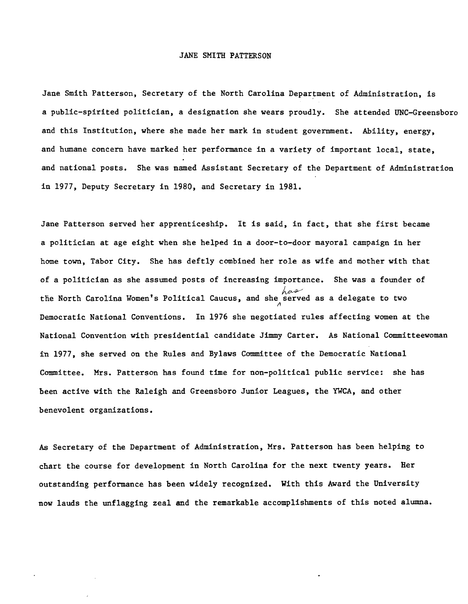## JANE SMITH PATTERSON

Jane Smith Patterson, Secretary of the North Carolina Department of Administration, is a public-spirited politician, a designation she wears proudly. She attended UNC-Greensboro and this Institution, where she made her mark in student government. Ability, energy, and humane concern have marked her performance in a variety of important local, state, and national posts. She was named Assistant Secretary of the Department of Administration in 1977, Deputy Secretary in 1980, and Secretary in 1981.

Jane Patterson served her apprenticeship. It is said, in fact, that she first became a politician at age eight when she helped in a door-to-door mayoral campaign in her home town, Tabor City. She has deftly combined her role as wife and mother with that of a politician as she assumed posts of increasing importance. She was a founder of the North Carolina Women's Political Caucus, and she served as a delegate to two ~ Democratic National Conventions. In 1976 she negotiated rules affecting women at the National Convention with presidential candidate Jimmy Carter. As National Committeewoman in 1977, she served on the Rules and Bylaws Committee of the Democratic National Committee. Mrs. Patterson has found time for non-political public service: she has been active with the Raleigh and Greensboro Junior Leagues, the YWCA, and other benevolent organizations.

As Secretary of the Department of Administration, Mrs. Patterson has been helping to chart the course for development in North Carolina for the next twenty years. Her outstanding performance has been widely recognized. With this Award the University now lauds the unflagging zeal and the remarkable accomplishments of this noted alumna.